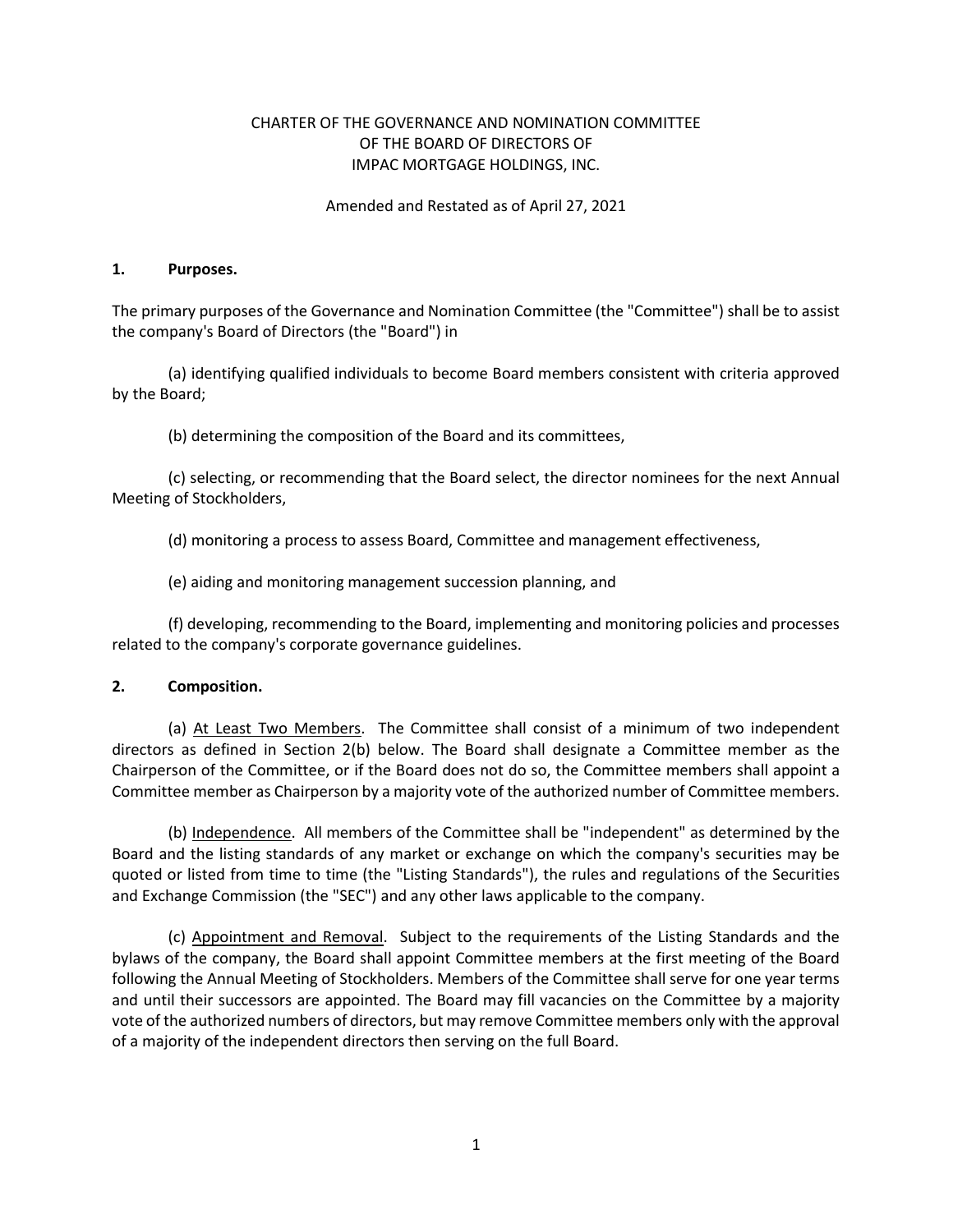# CHARTER OF THE GOVERNANCE AND NOMINATION COMMITTEE OF THE BOARD OF DIRECTORS OF IMPAC MORTGAGE HOLDINGS, INC.

### Amended and Restated as of April 27, 2021

#### 1. Purposes.

The primary purposes of the Governance and Nomination Committee (the "Committee") shall be to assist the company's Board of Directors (the "Board") in

(a) identifying qualified individuals to become Board members consistent with criteria approved by the Board;

(b) determining the composition of the Board and its committees,

(c) selecting, or recommending that the Board select, the director nominees for the next Annual Meeting of Stockholders,

(d) monitoring a process to assess Board, Committee and management effectiveness,

(e) aiding and monitoring management succession planning, and

(f) developing, recommending to the Board, implementing and monitoring policies and processes related to the company's corporate governance guidelines.

## 2. Composition.

(a) At Least Two Members. The Committee shall consist of a minimum of two independent directors as defined in Section 2(b) below. The Board shall designate a Committee member as the Chairperson of the Committee, or if the Board does not do so, the Committee members shall appoint a Committee member as Chairperson by a majority vote of the authorized number of Committee members.

(b) Independence. All members of the Committee shall be "independent" as determined by the Board and the listing standards of any market or exchange on which the company's securities may be quoted or listed from time to time (the "Listing Standards"), the rules and regulations of the Securities and Exchange Commission (the "SEC") and any other laws applicable to the company.

(c) Appointment and Removal. Subject to the requirements of the Listing Standards and the bylaws of the company, the Board shall appoint Committee members at the first meeting of the Board following the Annual Meeting of Stockholders. Members of the Committee shall serve for one year terms and until their successors are appointed. The Board may fill vacancies on the Committee by a majority vote of the authorized numbers of directors, but may remove Committee members only with the approval of a majority of the independent directors then serving on the full Board.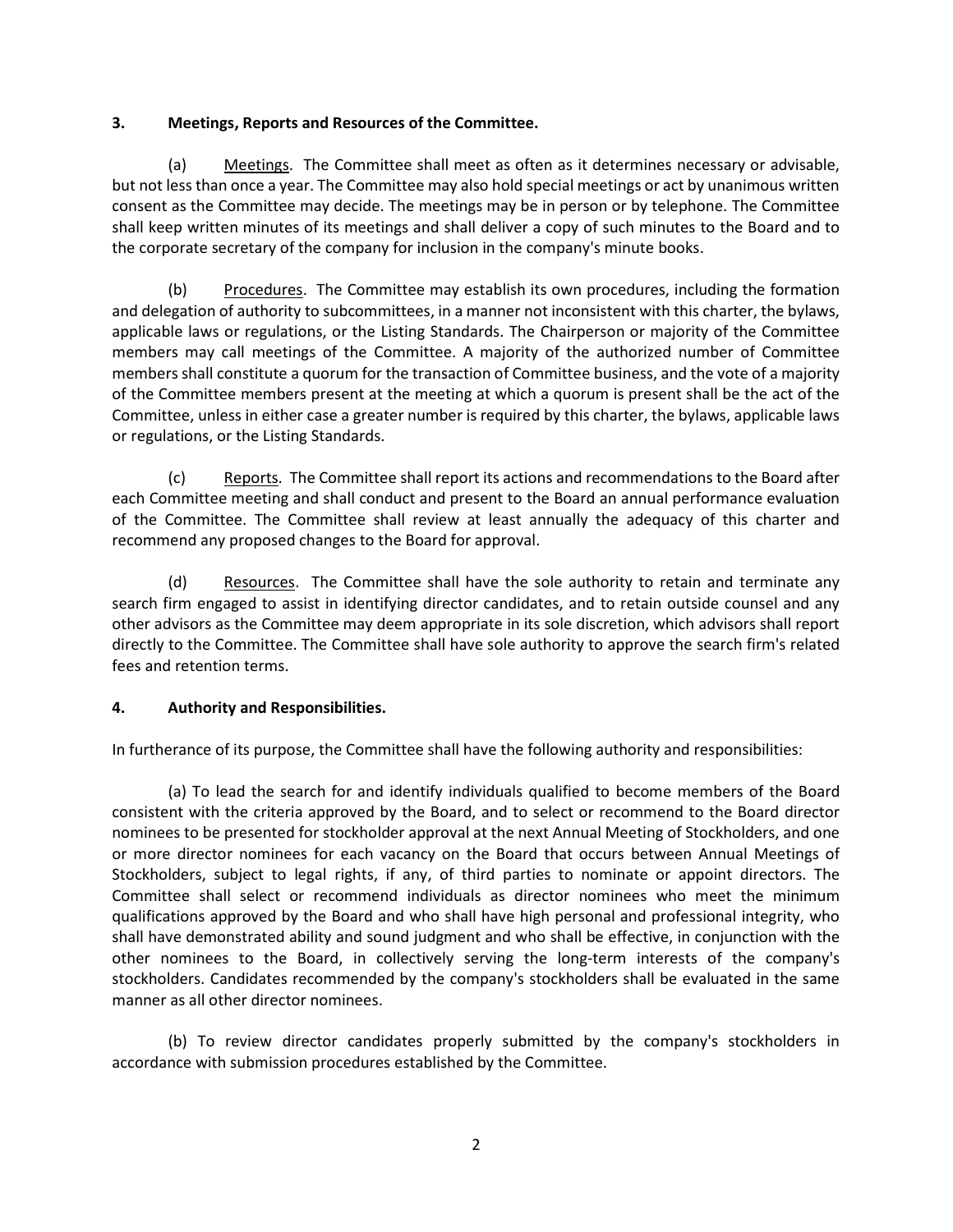# 3. Meetings, Reports and Resources of the Committee.

(a) Meetings. The Committee shall meet as often as it determines necessary or advisable, but not less than once a year. The Committee may also hold special meetings or act by unanimous written consent as the Committee may decide. The meetings may be in person or by telephone. The Committee shall keep written minutes of its meetings and shall deliver a copy of such minutes to the Board and to the corporate secretary of the company for inclusion in the company's minute books.

(b) Procedures. The Committee may establish its own procedures, including the formation and delegation of authority to subcommittees, in a manner not inconsistent with this charter, the bylaws, applicable laws or regulations, or the Listing Standards. The Chairperson or majority of the Committee members may call meetings of the Committee. A majority of the authorized number of Committee members shall constitute a quorum for the transaction of Committee business, and the vote of a majority of the Committee members present at the meeting at which a quorum is present shall be the act of the Committee, unless in either case a greater number is required by this charter, the bylaws, applicable laws or regulations, or the Listing Standards.

(c) Reports. The Committee shall report its actions and recommendations to the Board after each Committee meeting and shall conduct and present to the Board an annual performance evaluation of the Committee. The Committee shall review at least annually the adequacy of this charter and recommend any proposed changes to the Board for approval.

(d) Resources. The Committee shall have the sole authority to retain and terminate any search firm engaged to assist in identifying director candidates, and to retain outside counsel and any other advisors as the Committee may deem appropriate in its sole discretion, which advisors shall report directly to the Committee. The Committee shall have sole authority to approve the search firm's related fees and retention terms.

# 4. Authority and Responsibilities.

In furtherance of its purpose, the Committee shall have the following authority and responsibilities:

(a) To lead the search for and identify individuals qualified to become members of the Board consistent with the criteria approved by the Board, and to select or recommend to the Board director nominees to be presented for stockholder approval at the next Annual Meeting of Stockholders, and one or more director nominees for each vacancy on the Board that occurs between Annual Meetings of Stockholders, subject to legal rights, if any, of third parties to nominate or appoint directors. The Committee shall select or recommend individuals as director nominees who meet the minimum qualifications approved by the Board and who shall have high personal and professional integrity, who shall have demonstrated ability and sound judgment and who shall be effective, in conjunction with the other nominees to the Board, in collectively serving the long-term interests of the company's stockholders. Candidates recommended by the company's stockholders shall be evaluated in the same manner as all other director nominees.

(b) To review director candidates properly submitted by the company's stockholders in accordance with submission procedures established by the Committee.